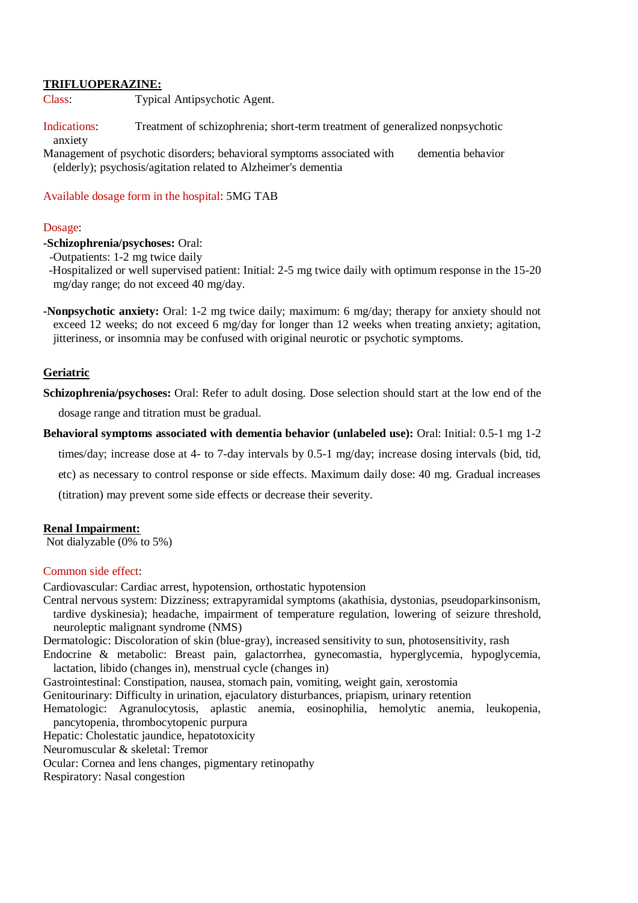## **TRIFLUOPERAZINE:**

Class: Typical Antipsychotic Agent.

Indications: Treatment of schizophrenia; short-term treatment of generalized nonpsychotic anxiety

Management of psychotic disorders; behavioral symptoms associated with dementia behavior (elderly); psychosis/agitation related to Alzheimer's dementia

### Available dosage form in the hospital: 5MG TAB

#### Dosage:

# **-Schizophrenia/psychoses:** Oral:

-Outpatients: 1-2 mg twice daily

 -Hospitalized or well supervised patient: Initial: 2-5 mg twice daily with optimum response in the 15-20 mg/day range; do not exceed 40 mg/day.

**-Nonpsychotic anxiety:** Oral: 1-2 mg twice daily; maximum: 6 mg/day; therapy for anxiety should not exceed 12 weeks; do not exceed 6 mg/day for longer than 12 weeks when treating anxiety; agitation, jitteriness, or insomnia may be confused with original neurotic or psychotic symptoms.

### **Geriatric**

**Schizophrenia/psychoses:** Oral: Refer to adult dosing. Dose selection should start at the low end of the

dosage range and titration must be gradual.

**Behavioral symptoms associated with dementia behavior (unlabeled use):** Oral: Initial: 0.5-1 mg 1-2

times/day; increase dose at 4- to 7-day intervals by 0.5-1 mg/day; increase dosing intervals (bid, tid,

etc) as necessary to control response or side effects. Maximum daily dose: 40 mg. Gradual increases

(titration) may prevent some side effects or decrease their severity.

#### **Renal Impairment:**

Not dialyzable (0% to 5%)

#### Common side effect:

Cardiovascular: Cardiac arrest, hypotension, orthostatic hypotension

Central nervous system: Dizziness; extrapyramidal symptoms (akathisia, dystonias, pseudoparkinsonism, tardive dyskinesia); headache, impairment of temperature regulation, lowering of seizure threshold, neuroleptic malignant syndrome (NMS)

Dermatologic: Discoloration of skin (blue-gray), increased sensitivity to sun, photosensitivity, rash

Endocrine & metabolic: Breast pain, galactorrhea, gynecomastia, hyperglycemia, hypoglycemia, lactation, libido (changes in), menstrual cycle (changes in)

Gastrointestinal: Constipation, nausea, stomach pain, vomiting, weight gain, xerostomia

Genitourinary: Difficulty in urination, ejaculatory disturbances, priapism, urinary retention

Hematologic: Agranulocytosis, aplastic anemia, eosinophilia, hemolytic anemia, leukopenia, pancytopenia, thrombocytopenic purpura

Hepatic: Cholestatic jaundice, hepatotoxicity

Neuromuscular & skeletal: Tremor

Ocular: Cornea and lens changes, pigmentary retinopathy

Respiratory: Nasal congestion